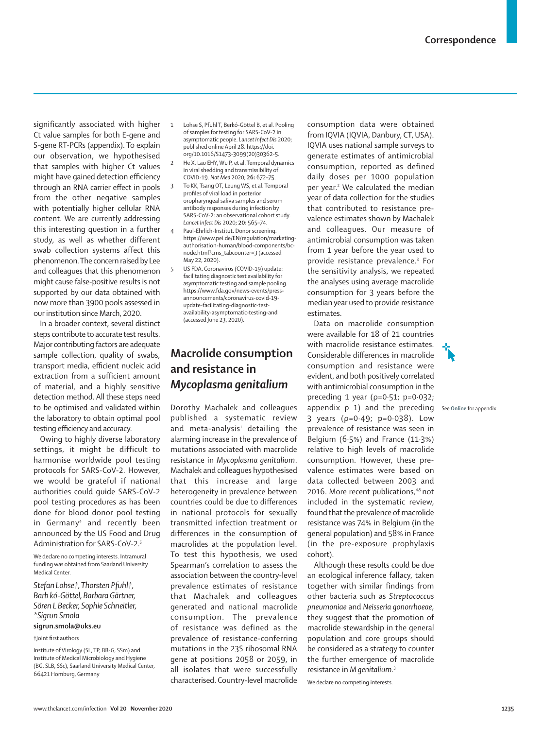significantly associated with higher Ct value samples for both E-gene and S-gene RT-PCRs (appendix). To explain our observation, we hypothesised that samples with higher Ct values might have gained detection efficiency through an RNA carrier effect in pools from the other negative samples with potentially higher cellular RNA content. We are currently addressing this interesting question in a further study, as well as whether different swab collection systems affect this phenomenon. The concern raised by Lee and colleagues that this phenomenon might cause false-positive results is not supported by our data obtained with now more than 3900 pools assessed in our institution since March, 2020.

In a broader context, several distinct steps contribute to accurate test results. Major contributing factors are adequate sample collection, quality of swabs, transport media, efficient nucleic acid extraction from a sufficient amount of material, and a highly sensitive detection method. All these steps need to be optimised and validated within the laboratory to obtain optimal pool testing efficiency and accuracy.

Owing to highly diverse laboratory settings, it might be difficult to harmonise worldwide pool testing protocols for SARS-CoV-2. However, we would be grateful if national authorities could guide SARS-CoV-2 pool testing procedures as has been done for blood donor pool testing in Germany4 and recently been announced by the US Food and Drug Administration for SARS-CoV-2.5

We declare no competing interests. Intramural funding was obtained from Saarland University Medical Center.

*Stefan Lohse†, Thorsten Pfuhl†, Barb kó-Göttel, Barbara Gärtner, Sören L Becker, Sophie Schneitler, \*Sigrun Smola*

#### **sigrun.smola@uks.eu**

†Joint first authors

Institute of Virology (SL, TP, BB-G, SSm) and Institute of Medical Microbiology and Hygiene (BG, SLB, SSc), Saarland University Medical Center, 66421 Homburg, Germany

- 1 Lohse S, Pfuhl T, Berkó-Göttel B, et al. Pooling of samples for testing for SARS-CoV-2 in asymptomatic people. *Lancet Infect Dis* 2020; published online April 28. https://doi. org/10.1016/S1473-3099(20)30362-5.
	- He X, Lau EHY, Wu P, et al. Temporal dynamics in viral shedding and transmissibility of COVID-19. *Nat Med* 2020; **26:** 672–75.
- 3 To KK, Tsang OT, Leung WS, et al. Temporal profiles of viral load in posterior oropharyngeal saliva samples and serum antibody responses during infection by SARS-CoV-2: an observational cohort study. *Lancet Infect Dis* 2020; **20:** 565–74.
- 4 Paul-Ehrlich-Institut. Donor screening. https://www.pei.de/EN/regulation/marketingauthorisation-human/blood-components/bcnode.html?cms\_tabcounter=3 (accessed May 22, 2020).
- 5 US FDA. Coronavirus (COVID-19) update: facilitating diagnostic test availability for asymptomatic testing and sample pooling. https://www.fda.gov/news-events/pressannouncements/coronavirus-covid-19update-facilitating-diagnostic-testavailability-asymptomatic-testing-and (accessed June 23, 2020).

## **Macrolide consumption and resistance in**  *Mycoplasma genitalium*

Dorothy Machalek and colleagues published a systematic review and meta-analysis<sup>1</sup> detailing the alarming increase in the prevalence of mutations associated with macrolide resistance in *Mycoplasma genitalium*. Machalek and colleagues hypothesised that this increase and large heterogeneity in prevalence between countries could be due to differences in national protocols for sexually transmitted infection treatment or differences in the consumption of macrolides at the population level. To test this hypothesis, we used Spearman's correlation to assess the association between the country-level prevalence estimates of resistance that Machalek and colleagues generated and national macrolide consumption. The prevalence of resistance was defined as the prevalence of resistance-conferring mutations in the 23S ribosomal RNA gene at positions 2058 or 2059, in all isolates that were successfully characterised. Country-level macrolide

consumption data were obtained from IQVIA (IQVIA, Danbury, CT, USA). IQVIA uses national sample surveys to generate estimates of antimicrobial consumption, reported as defined daily doses per 1000 population per year.<sup>2</sup> We calculated the median year of data collection for the studies that contributed to resistance prevalence estimates shown by Machalek and colleagues. Our measure of antimicrobial consumption was taken from 1 year before the year used to provide resistance prevalence.3 For the sensitivity analysis, we repeated the analyses using average macrolide consumption for 3 years before the median year used to provide resistance estimates.

Data on macrolide consumption were available for 18 of 21 countries with macrolide resistance estimates. Considerable differences in macrolide consumption and resistance were evident, and both positively correlated with antimicrobial consumption in the preceding 1 year (ρ=0·51; p=0·032; appendix p 1) and the preceding 3 years (ρ=0·49; p=0·038). Low prevalence of resistance was seen in Belgium (6·5%) and France (11·3%) relative to high levels of macrolide consumption. However, these prevalence estimates were based on data collected between 2003 and 2016. More recent publications.<sup>4,5</sup> not included in the systematic review, found that the prevalence of macrolide resistance was 74% in Belgium (in the general population) and 58% in France (in the pre-exposure prophylaxis cohort).

Although these results could be due an ecological inference fallacy, taken together with similar findings from other bacteria such as *Streptococcus pneumoniae* and *Neisseria gonorrhoeae*, they suggest that the promotion of macrolide stewardship in the general population and core groups should be considered as a strategy to counter the further emergence of macrolide resistance in *M genitalium*. 3 We declare no competing interests.

See **Online** for appendix